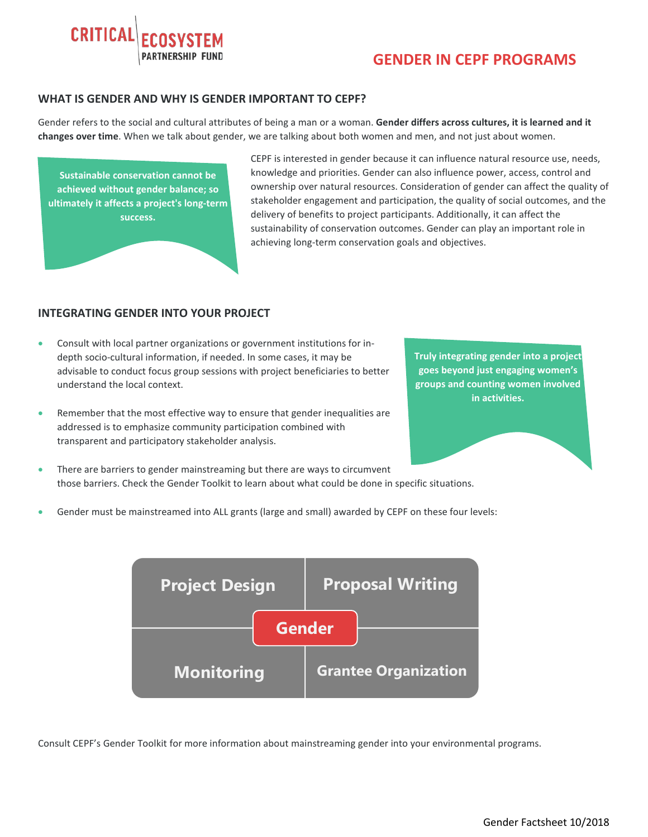# **GENDER IN CEPF PROGRAMS**

#### **WHAT IS GENDER AND WHY IS GENDER IMPORTANT TO CEPF?**

Gender refers to the social and cultural attributes of being a man or a woman. **Gender differs across cultures, it is learned and it changes over time**. When we talk about gender, we are talking about both women and men, and not just about women.

**Sustainable conservation cannot be achieved without gender balance; so ultimately it affects a project's long-term success.**

**CRITICAL** 

CEPF is interested in gender because it can influence natural resource use, needs, knowledge and priorities. Gender can also influence power, access, control and ownership over natural resources. Consideration of gender can affect the quality of stakeholder engagement and participation, the quality of social outcomes, and the delivery of benefits to project participants. Additionally, it can affect the sustainability of conservation outcomes. Gender can play an important role in achieving long-term conservation goals and objectives.

#### **INTEGRATING GENDER INTO YOUR PROJECT**

- Consult with local partner organizations or government institutions for indepth socio-cultural information, if needed. In some cases, it may be advisable to conduct focus group sessions with project beneficiaries to better understand the local context.
- Remember that the most effective way to ensure that gender inequalities are addressed is to emphasize community participation combined with transparent and participatory stakeholder analysis.

**Truly integrating gender into a project goes beyond just engaging women's groups and counting women involved in activities.**

- There are barriers to gender mainstreaming but there are ways to circumvent those barriers. Check the Gender Toolkit to learn about what could be done in specific situations.
- Gender must be mainstreamed into ALL grants (large and small) awarded by CEPF on these four levels:



Consult CEPF's Gender Toolkit for more information about mainstreaming gender into your environmental programs.